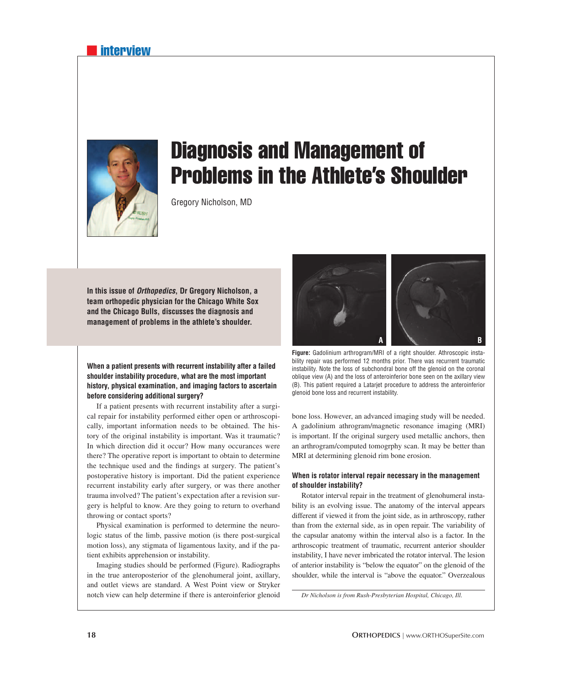### **interview**



# Diagnosis and Management of Problems in the Athlete's Shoulder

Gregory Nicholson, MD

**In this issue of** *Orthopedics***, Dr Gregory Nicholson, a team orthopedic physician for the Chicago White Sox and the Chicago Bulls, discusses the diagnosis and management of problems in the athlete's shoulder.**

**When a patient presents with recurrent instability after a failed shoulder instability procedure, what are the most important history, physical examination, and imaging factors to ascertain before considering additional surgery?**

If a patient presents with recurrent instability after a surgical repair for instability performed either open or arthroscopically, important information needs to be obtained. The history of the original instability is important. Was it traumatic? In which direction did it occur? How many occurances were there? The operative report is important to obtain to determine the technique used and the findings at surgery. The patient's postoperative history is important. Did the patient experience recurrent instability early after surgery, or was there another trauma involved? The patient's expectation after a revision surgery is helpful to know. Are they going to return to overhand throwing or contact sports?

Physical examination is performed to determine the neurologic status of the limb, passive motion (is there post-surgical motion loss), any stigmata of ligamentous laxity, and if the patient exhibits apprehension or instability.

Imaging studies should be performed (Figure). Radiographs in the true anteroposterior of the glenohumeral joint, axillary, and outlet views are standard. A West Point view or Stryker notch view can help determine if there is anteroinferior glenoid



**Figure:** Gadolinium arthrogram/MRI of a right shoulder. Athroscopic instability repair was performed 12 months prior. There was recurrent traumatic instability. Note the loss of subchondral bone off the glenoid on the coronal oblique view (A) and the loss of anteroinferior bone seen on the axillary view (B). This patient required a Latarjet procedure to address the anteroinferior glenoid bone loss and recurrent instability.

bone loss. However, an advanced imaging study will be needed. A gadolinium athrogram/magnetic resonance imaging (MRI) is important. If the original surgery used metallic anchors, then an arthrogram/computed tomogrphy scan. It may be better than MRI at determining glenoid rim bone erosion.

#### **When is rotator interval repair necessary in the management of shoulder instability?**

Rotator interval repair in the treatment of glenohumeral instability is an evolving issue. The anatomy of the interval appears different if viewed it from the joint side, as in arthroscopy, rather than from the external side, as in open repair. The variability of the capsular anatomy within the interval also is a factor. In the arthroscopic treatment of traumatic, recurrent anterior shoulder instability, I have never imbricated the rotator interval. The lesion of anterior instability is "below the equator" on the glenoid of the shoulder, while the interval is "above the equator." Overzealous

*Dr Nicholson is from Rush-Presbyterian Hospital, Chicago, Ill.*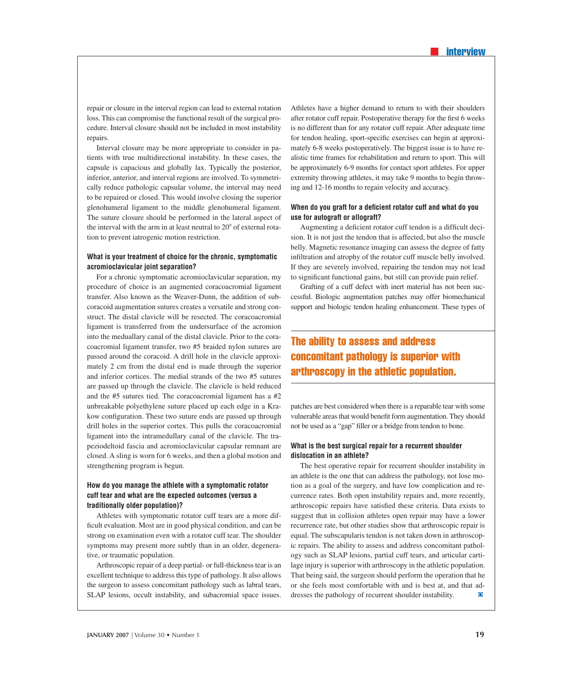repair or closure in the interval region can lead to external rotation loss. This can compromise the functional result of the surgical procedure. Interval closure should not be included in most instability repairs.

Interval closure may be more appropriate to consider in patients with true multidirectional instability. In these cases, the capsule is capacious and globally lax. Typically the posterior, inferior, anterior, and interval regions are involved. To symmetrically reduce pathologic capsular volume, the interval may need to be repaired or closed. This would involve closing the superior glenohumeral ligament to the middle glenohumeral ligament. The suture closure should be performed in the lateral aspect of the interval with the arm in at least neutral to  $20^{\circ}$  of external rotation to prevent iatrogenic motion restriction.

#### **What is your treatment of choice for the chronic, symptomatic acromioclavicular joint separation?**

For a chronic symptomatic acromioclavicular separation, my procedure of choice is an augmented coracoacromial ligament transfer. Also known as the Weaver-Dunn, the addition of subcoracoid augmentation sutures creates a versatile and strong construct. The distal clavicle will be resected. The coracoacromial ligament is transferred from the undersurface of the acromion into the meduallary canal of the distal clavicle. Prior to the coracoacromial ligament transfer, two #5 braided nylon sutures are passed around the coracoid. A drill hole in the clavicle approximately 2 cm from the distal end is made through the superior and inferior cortices. The medial strands of the two #5 sutures are passed up through the clavicle. The clavicle is held reduced and the #5 sutures tied. The coracoacromial ligament has a #2 unbreakable polyethylene suture placed up each edge in a Krakow configuration. These two suture ends are passed up through drill holes in the superior cortex. This pulls the coracoacromial ligament into the intramedullary canal of the clavicle. The trapeziodeltoid fascia and acromioclavicular capsular remnant are closed. A sling is worn for 6 weeks, and then a global motion and strengthening program is begun.

#### **How do you manage the athlete with a symptomatic rotator cuff tear and what are the expected outcomes (versus a traditionally older population)?**

Athletes with symptomatic rotator cuff tears are a more difficult evaluation. Most are in good physical condition, and can be strong on examination even with a rotator cuff tear. The shoulder symptoms may present more subtly than in an older, degenerative, or traumatic population.

Arthroscopic repair of a deep partial- or full-thickness tear is an excellent technique to address this type of pathology. It also allows the surgeon to assess concomitant pathology such as labral tears, SLAP lesions, occult instability, and subacromial space issues.

Athletes have a higher demand to return to with their shoulders after rotator cuff repair. Postoperative therapy for the first 6 weeks is no different than for any rotator cuff repair. After adequate time for tendon healing, sport-specific exercises can begin at approximately 6-8 weeks postoperatively. The biggest issue is to have realistic time frames for rehabilitation and return to sport. This will be approximately 6-9 months for contact sport athletes. For upper extremity throwing athletes, it may take 9 months to begin throwing and 12-16 months to regain velocity and accuracy.

#### When do you graft for a deficient rotator cuff and what do you **use for autograft or allograft?**

Augmenting a deficient rotator cuff tendon is a difficult decision. It is not just the tendon that is affected, but also the muscle belly. Magnetic resonance imaging can assess the degree of fatty infiltration and atrophy of the rotator cuff muscle belly involved. If they are severely involved, repairing the tendon may not lead to significant functional gains, but still can provide pain relief.

Grafting of a cuff defect with inert material has not been successful. Biologic augmentation patches may offer biomechanical support and biologic tendon healing enhancement. These types of

## The ability to assess and address concomitant pathology is superior with arthroscopy in the athletic population.

patches are best considered when there is a reparable tear with some vulnerable areas that would benefit form augmentation. They should not be used as a "gap" filler or a bridge from tendon to bone.

#### **What is the best surgical repair for a recurrent shoulder dislocation in an athlete?**

The best operative repair for recurrent shoulder instability in an athlete is the one that can address the pathology, not lose motion as a goal of the surgery, and have low complication and recurrence rates. Both open instability repairs and, more recently, arthroscopic repairs have satisfied these criteria. Data exists to suggest that in collision athletes open repair may have a lower recurrence rate, but other studies show that arthroscopic repair is equal. The subscapularis tendon is not taken down in arthroscopic repairs. The ability to assess and address concomitant pathology such as SLAP lesions, partial cuff tears, and articular cartilage injury is superior with arthroscopy in the athletic population. That being said, the surgeon should perform the operation that he or she feels most comfortable with and is best at, and that addresses the pathology of recurrent shoulder instability.  $\overline{O}$